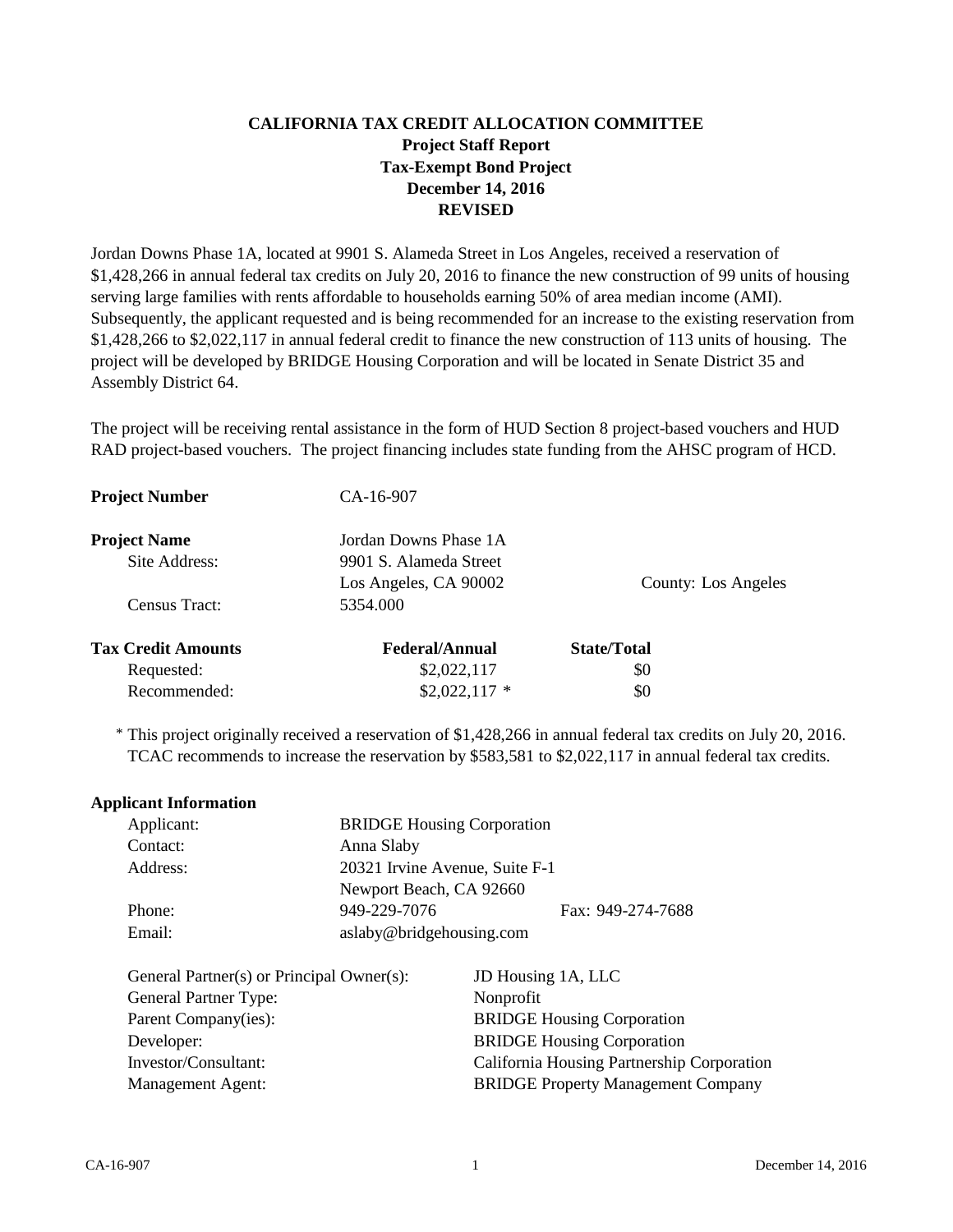## **CALIFORNIA TAX CREDIT ALLOCATION COMMITTEE Project Staff Report Tax-Exempt Bond Project December 14, 2016 REVISED**

Jordan Downs Phase 1A, located at 9901 S. Alameda Street in Los Angeles, received a reservation of \$1,428,266 in annual federal tax credits on July 20, 2016 to finance the new construction of 99 units of housing serving large families with rents affordable to households earning 50% of area median income (AMI). Subsequently, the applicant requested and is being recommended for an increase to the existing reservation from \$1,428,266 to \$2,022,117 in annual federal credit to finance the new construction of 113 units of housing. The project will be developed by BRIDGE Housing Corporation and will be located in Senate District 35 and Assembly District 64.

The project will be receiving rental assistance in the form of HUD Section 8 project-based vouchers and HUD RAD project-based vouchers. The project financing includes state funding from the AHSC program of HCD.

| <b>Project Number</b>     | CA-16-907              |                     |
|---------------------------|------------------------|---------------------|
| <b>Project Name</b>       | Jordan Downs Phase 1A  |                     |
| Site Address:             | 9901 S. Alameda Street |                     |
|                           | Los Angeles, CA 90002  | County: Los Angeles |
| Census Tract:             | 5354.000               |                     |
| <b>Tax Credit Amounts</b> | <b>Federal/Annual</b>  | <b>State/Total</b>  |
| Requested:                | \$2,022,117            | \$0                 |
| Recommended:              | $$2,022,117$ *         | \$0                 |

\* This project originally received a reservation of \$1,428,266 in annual federal tax credits on July 20, 2016. TCAC recommends to increase the reservation by \$583,581 to \$2,022,117 in annual federal tax credits.

#### **Applicant Information**

| Applicant: | <b>BRIDGE Housing Corporation</b> |                   |
|------------|-----------------------------------|-------------------|
| Contact:   | Anna Slaby                        |                   |
| Address:   | 20321 Irvine Avenue, Suite F-1    |                   |
|            | Newport Beach, CA 92660           |                   |
| Phone:     | 949-229-7076                      | Fax: 949-274-7688 |
| Email:     | aslaby@bridgehousing.com          |                   |

| JD Housing 1A, LLC                         |
|--------------------------------------------|
| Nonprofit                                  |
| <b>BRIDGE Housing Corporation</b>          |
| <b>BRIDGE Housing Corporation</b>          |
| California Housing Partnership Corporation |
| <b>BRIDGE Property Management Company</b>  |
|                                            |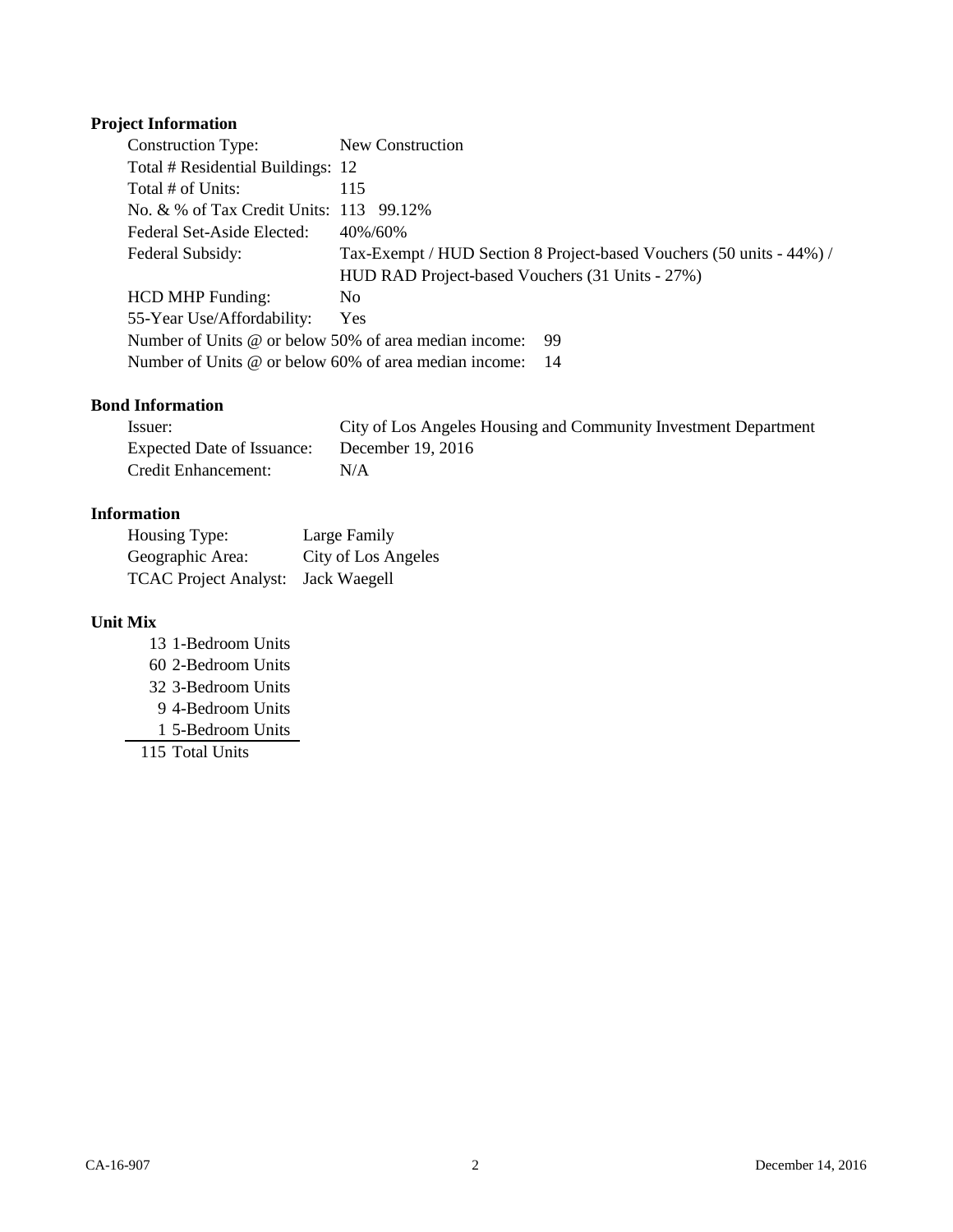# **Project Information**

| Construction Type:                                           | New Construction                                                     |
|--------------------------------------------------------------|----------------------------------------------------------------------|
| Total # Residential Buildings: 12                            |                                                                      |
| Total # of Units:                                            | 115                                                                  |
| No. & % of Tax Credit Units: 113 99.12%                      |                                                                      |
| Federal Set-Aside Elected:                                   | 40%/60%                                                              |
| Federal Subsidy:                                             | Tax-Exempt / HUD Section 8 Project-based Vouchers (50 units - 44%) / |
|                                                              | HUD RAD Project-based Vouchers (31 Units - 27%)                      |
| <b>HCD MHP Funding:</b>                                      | N <sub>0</sub>                                                       |
| 55-Year Use/Affordability:                                   | <b>Yes</b>                                                           |
| Number of Units $\omega$ or below 50% of area median income: | -99                                                                  |
| Number of Units @ or below 60% of area median income:        | - 14                                                                 |

## **Bond Information**

| Issuer:                    | City of Los Angeles Housing and Community Investment Department |
|----------------------------|-----------------------------------------------------------------|
| Expected Date of Issuance: | December 19, 2016                                               |
| Credit Enhancement:        | N/A                                                             |

## **Information**

| Housing Type:                      | Large Family        |
|------------------------------------|---------------------|
| Geographic Area:                   | City of Los Angeles |
| TCAC Project Analyst: Jack Waegell |                     |

## **Unit Mix**

 1-Bedroom Units 2-Bedroom Units 3-Bedroom Units 4-Bedroom Units 5-Bedroom Units Total Units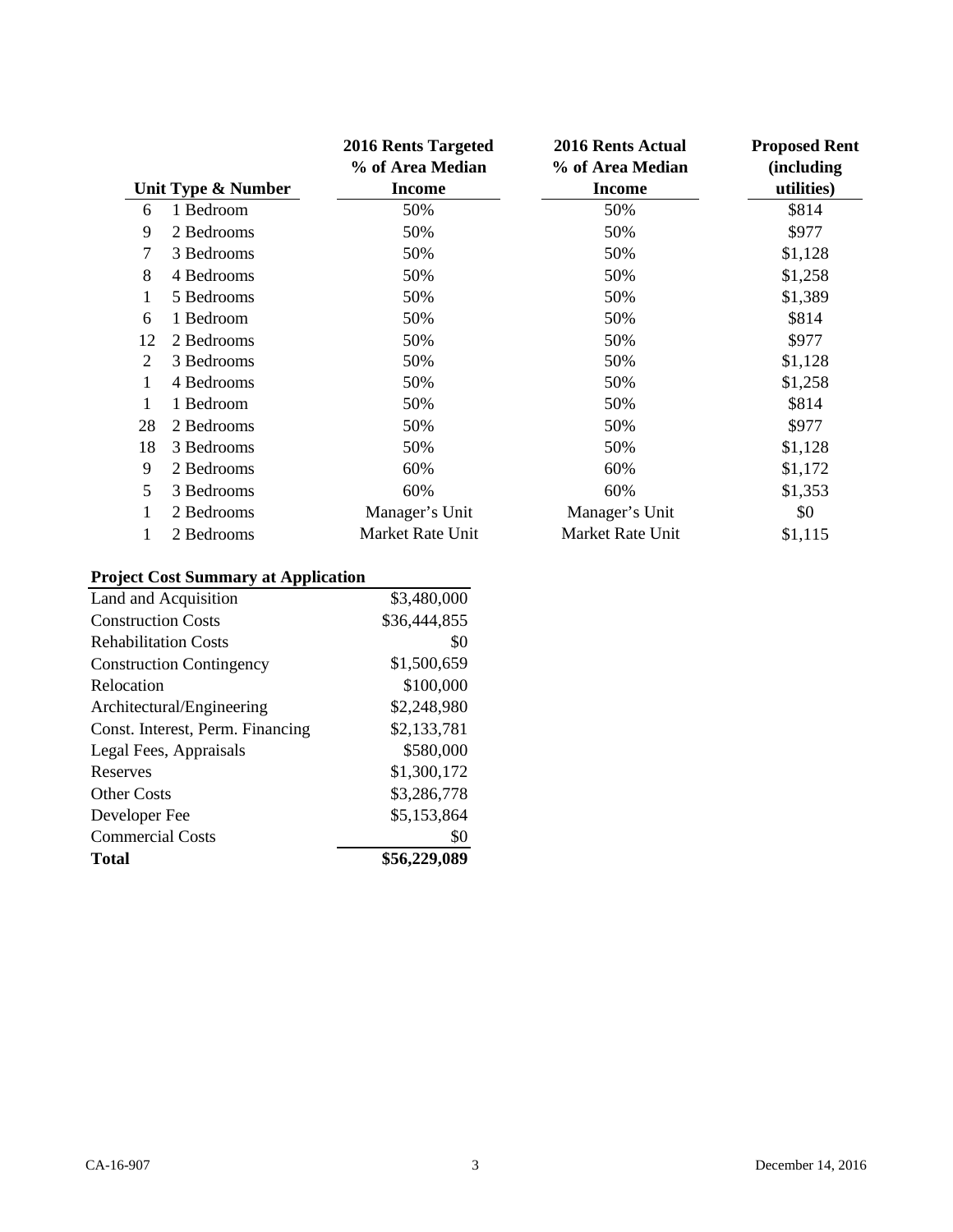|    |                    | <b>2016 Rents Targeted</b><br>% of Area Median | <b>2016 Rents Actual</b><br>% of Area Median | <b>Proposed Rent</b><br>(including |
|----|--------------------|------------------------------------------------|----------------------------------------------|------------------------------------|
|    | Unit Type & Number | <b>Income</b>                                  | <b>Income</b>                                | utilities)                         |
| 6  | 1 Bedroom          | 50%                                            | 50%                                          | \$814                              |
| 9  | 2 Bedrooms         | 50%                                            | 50%                                          | \$977                              |
| 7  | 3 Bedrooms         | 50%                                            | 50%                                          | \$1,128                            |
| 8  | 4 Bedrooms         | 50%                                            | 50%                                          | \$1,258                            |
| 1  | 5 Bedrooms         | 50%                                            | 50%                                          | \$1,389                            |
| 6  | 1 Bedroom          | 50%                                            | 50%                                          | \$814                              |
| 12 | 2 Bedrooms         | 50%                                            | 50%                                          | \$977                              |
| 2  | 3 Bedrooms         | 50%                                            | 50%                                          | \$1,128                            |
| 1  | 4 Bedrooms         | 50%                                            | 50%                                          | \$1,258                            |
| 1  | 1 Bedroom          | 50%                                            | 50%                                          | \$814                              |
| 28 | 2 Bedrooms         | 50%                                            | 50%                                          | \$977                              |
| 18 | 3 Bedrooms         | 50%                                            | 50%                                          | \$1,128                            |
| 9  | 2 Bedrooms         | 60%                                            | 60%                                          | \$1,172                            |
| 5  | 3 Bedrooms         | 60%                                            | 60%                                          | \$1,353                            |
| 1  | 2 Bedrooms         | Manager's Unit                                 | Manager's Unit                               | \$0                                |
| 1  | 2 Bedrooms         | Market Rate Unit                               | Market Rate Unit                             | \$1,115                            |

# **Project Cost Summary at Application**

| Land and Acquisition             | \$3,480,000  |
|----------------------------------|--------------|
| <b>Construction Costs</b>        | \$36,444,855 |
| <b>Rehabilitation Costs</b>      | \$0          |
| <b>Construction Contingency</b>  | \$1,500,659  |
| Relocation                       | \$100,000    |
| Architectural/Engineering        | \$2,248,980  |
| Const. Interest, Perm. Financing | \$2,133,781  |
| Legal Fees, Appraisals           | \$580,000    |
| Reserves                         | \$1,300,172  |
| <b>Other Costs</b>               | \$3,286,778  |
| Developer Fee                    | \$5,153,864  |
| <b>Commercial Costs</b>          | \$0          |
| Total                            | \$56,229,089 |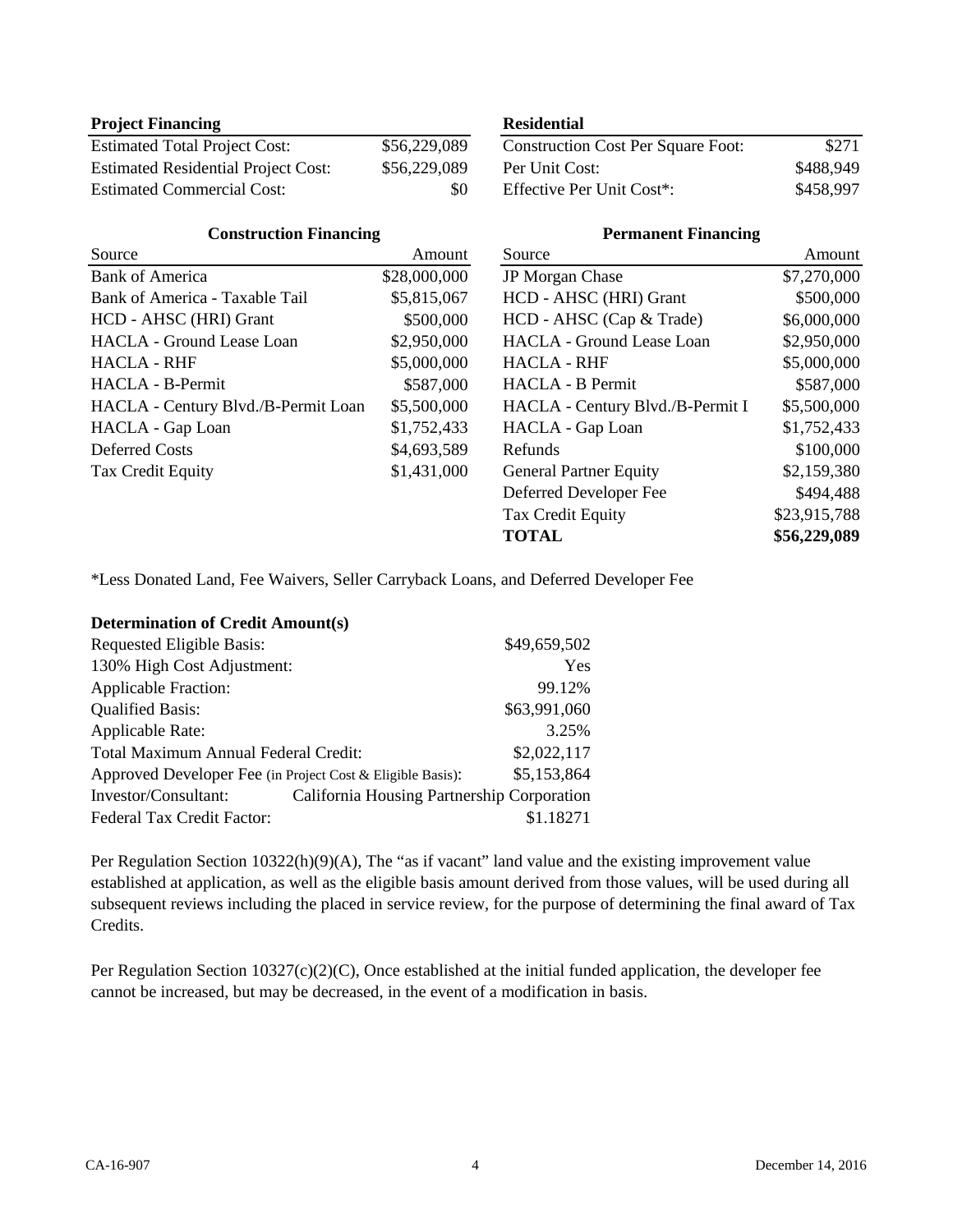## **Project Financing Residential**

| <b>Estimated Total Project Cost:</b>       | \$56,229,089 | <b>Construction Cost Per Square Foot:</b> | \$271     |
|--------------------------------------------|--------------|-------------------------------------------|-----------|
| <b>Estimated Residential Project Cost:</b> | \$56,229,089 | Per Unit Cost:                            | \$488,949 |
| <b>Estimated Commercial Cost:</b>          |              | Effective Per Unit Cost <sup>*</sup> :    | \$458,997 |

## **Construction Financing**

| Source                              | Amount       | Source                           |
|-------------------------------------|--------------|----------------------------------|
| <b>Bank of America</b>              | \$28,000,000 | <b>JP</b> Morgan Chase           |
| Bank of America - Taxable Tail      | \$5,815,067  | HCD - AHSC (HRI) Grant           |
| HCD - AHSC (HRI) Grant              | \$500,000    | HCD - AHSC (Cap & Trade)         |
| <b>HACLA</b> - Ground Lease Loan    | \$2,950,000  | <b>HACLA</b> - Ground Lease Loan |
| <b>HACLA - RHF</b>                  | \$5,000,000  | <b>HACLA - RHF</b>               |
| HACLA - B-Permit                    | \$587,000    | HACLA - B Permit                 |
| HACLA - Century Blvd./B-Permit Loan | \$5,500,000  | HACLA - Century Blvd./B-Permit I |
| HACLA - Gap Loan                    | \$1,752,433  | HACLA - Gap Loan                 |
| Deferred Costs                      | \$4,693,589  | Refunds                          |
| Tax Credit Equity                   | \$1,431,000  | <b>General Partner Equity</b>    |
|                                     |              | Deferred Developer Fee           |

| <b>Construction Cost Per Square Foot:</b> | \$271     |
|-------------------------------------------|-----------|
| Per Unit Cost:                            | \$488,949 |
| Effective Per Unit Cost <sup>*</sup> :    | \$458,997 |

## **Permanent Financing**

| Source                           | Amount       |
|----------------------------------|--------------|
| JP Morgan Chase                  | \$7,270,000  |
| HCD - AHSC (HRI) Grant           | \$500,000    |
| HCD - AHSC (Cap & Trade)         | \$6,000,000  |
| <b>HACLA</b> - Ground Lease Loan | \$2,950,000  |
| <b>HACLA - RHF</b>               | \$5,000,000  |
| HACLA - B Permit                 | \$587,000    |
| HACLA - Century Blvd./B-Permit I | \$5,500,000  |
| HACLA - Gap Loan                 | \$1,752,433  |
| Refunds                          | \$100,000    |
| <b>General Partner Equity</b>    | \$2,159,380  |
| Deferred Developer Fee           | \$494,488    |
| Tax Credit Equity                | \$23,915,788 |
| <b>TOTAL</b>                     | \$56,229,089 |

\*Less Donated Land, Fee Waivers, Seller Carryback Loans, and Deferred Developer Fee

## **Determination of Credit Amount(s)**

| <b>Requested Eligible Basis:</b>                                   | \$49,659,502 |
|--------------------------------------------------------------------|--------------|
| 130% High Cost Adjustment:                                         | Yes          |
| <b>Applicable Fraction:</b>                                        | 99.12%       |
| <b>Qualified Basis:</b>                                            | \$63,991,060 |
| Applicable Rate:                                                   | 3.25%        |
| Total Maximum Annual Federal Credit:                               | \$2,022,117  |
| Approved Developer Fee (in Project Cost & Eligible Basis):         | \$5,153,864  |
| California Housing Partnership Corporation<br>Investor/Consultant: |              |
| Federal Tax Credit Factor:                                         | \$1.18271    |

Per Regulation Section 10322(h)(9)(A), The "as if vacant" land value and the existing improvement value established at application, as well as the eligible basis amount derived from those values, will be used during all subsequent reviews including the placed in service review, for the purpose of determining the final award of Tax Credits.

Per Regulation Section 10327(c)(2)(C), Once established at the initial funded application, the developer fee cannot be increased, but may be decreased, in the event of a modification in basis.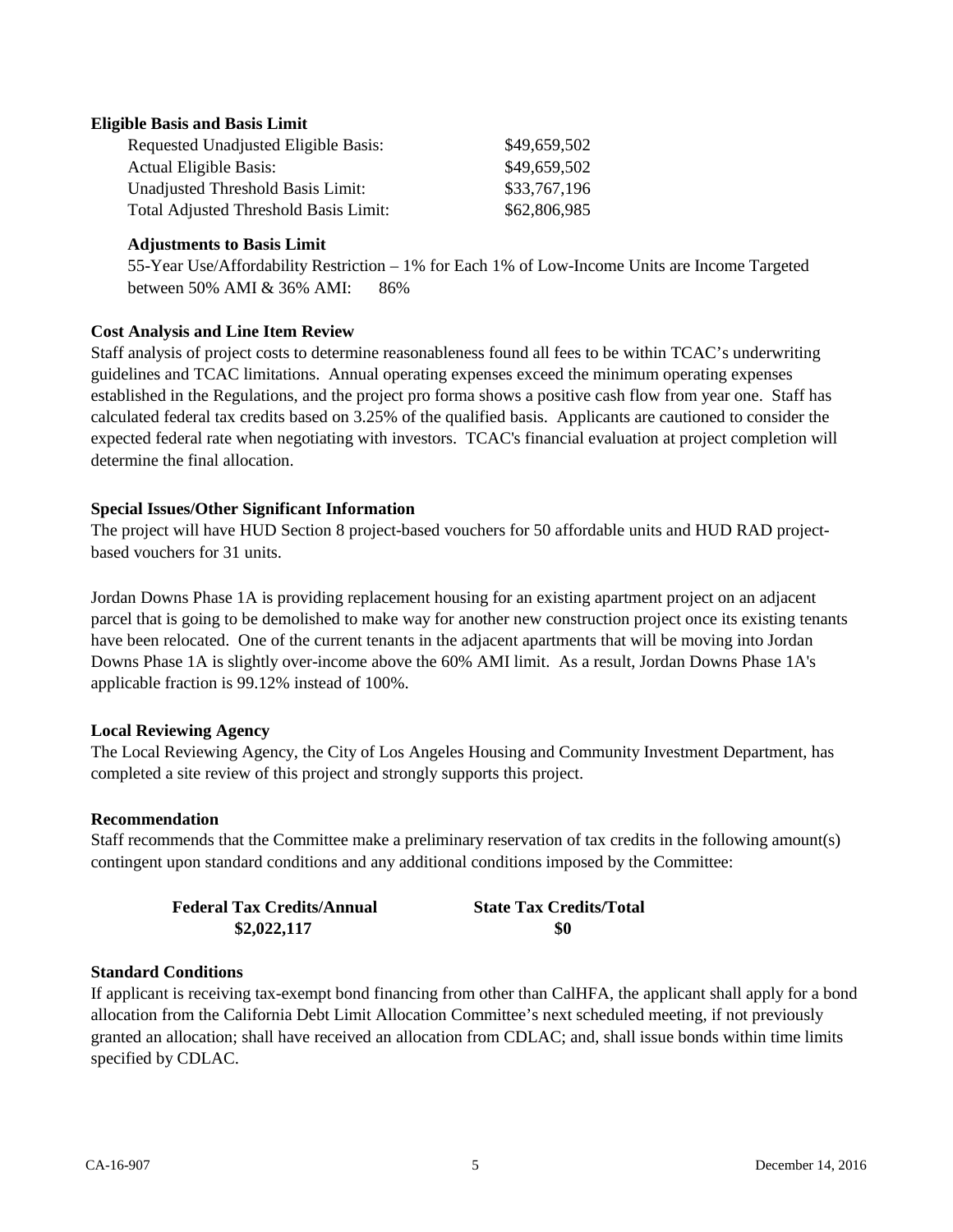## **Eligible Basis and Basis Limit**

| Requested Unadjusted Eligible Basis:  | \$49,659,502 |
|---------------------------------------|--------------|
| <b>Actual Eligible Basis:</b>         | \$49,659,502 |
| Unadjusted Threshold Basis Limit:     | \$33,767,196 |
| Total Adjusted Threshold Basis Limit: | \$62,806,985 |

## **Adjustments to Basis Limit**

55-Year Use/Affordability Restriction – 1% for Each 1% of Low-Income Units are Income Targeted between 50% AMI & 36% AMI: 86%

### **Cost Analysis and Line Item Review**

Staff analysis of project costs to determine reasonableness found all fees to be within TCAC's underwriting guidelines and TCAC limitations. Annual operating expenses exceed the minimum operating expenses established in the Regulations, and the project pro forma shows a positive cash flow from year one. Staff has calculated federal tax credits based on 3.25% of the qualified basis. Applicants are cautioned to consider the expected federal rate when negotiating with investors. TCAC's financial evaluation at project completion will determine the final allocation.

### **Special Issues/Other Significant Information**

The project will have HUD Section 8 project-based vouchers for 50 affordable units and HUD RAD projectbased vouchers for 31 units.

Jordan Downs Phase 1A is providing replacement housing for an existing apartment project on an adjacent parcel that is going to be demolished to make way for another new construction project once its existing tenants have been relocated. One of the current tenants in the adjacent apartments that will be moving into Jordan Downs Phase 1A is slightly over-income above the 60% AMI limit. As a result, Jordan Downs Phase 1A's applicable fraction is 99.12% instead of 100%.

## **Local Reviewing Agency**

The Local Reviewing Agency, the City of Los Angeles Housing and Community Investment Department, has completed a site review of this project and strongly supports this project.

## **Recommendation**

Staff recommends that the Committee make a preliminary reservation of tax credits in the following amount(s) contingent upon standard conditions and any additional conditions imposed by the Committee:

| <b>Federal Tax Credits/Annual</b> | <b>State Tax Credits/Total</b> |
|-----------------------------------|--------------------------------|
| \$2,022,117                       | -\$0                           |

## **Standard Conditions**

If applicant is receiving tax-exempt bond financing from other than CalHFA, the applicant shall apply for a bond allocation from the California Debt Limit Allocation Committee's next scheduled meeting, if not previously granted an allocation; shall have received an allocation from CDLAC; and, shall issue bonds within time limits specified by CDLAC.